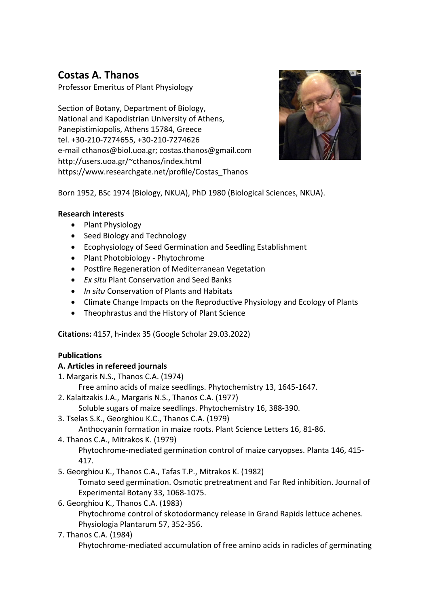# **Costas A. Thanos**

Professor Emeritus of Plant Physiology

Section of Botany, Department of Biology, National and Kapodistrian University of Athens, Panepistimiopolis, Athens 15784, Greece tel. +30-210-7274655, +30-210-7274626 e-mai[l cthanos@biol.uoa.gr;](mailto:cthanos@biol.uoa.gr) [costas.thanos@gmail.com](mailto:costas.thanos@gmail.com) [http://users.uoa.gr/~cthanos/index.html](http://users.uoa.gr/%7Ecthanos/index.html) [https://www.researchgate.net/profile/Costas\\_Thanos](https://www.researchgate.net/profile/Costas_Thanos)



Born 1952, BSc 1974 (Biology, NKUA), PhD 1980 (Biological Sciences, NKUA).

## **Research interests**

- Plant Physiology
- Seed Biology and Technology
- Ecophysiology of Seed Germination and Seedling Establishment
- Plant Photobiology Phytochrome
- Postfire Regeneration of Mediterranean Vegetation
- *Ex situ* Plant Conservation and Seed Banks
- *In situ* Conservation of Plants and Habitats
- Climate Change Impacts on the Reproductive Physiology and Ecology of Plants
- Theophrastus and the History of Plant Science

**Citations:** 4157, h-index 35 (Google Scholar 29.03.2022)

# **Publications**

#### **A. Articles in refereed journals**

1. Margaris N.S., Thanos C.A. (1974)

Free amino acids of maize seedlings. Phytochemistry 13, 1645-1647.

2. Kalaitzakis J.A., Margaris N.S., Thanos C.A. (1977)

Soluble sugars of maize seedlings. Phytochemistry 16, 388-390.

3. Tselas S.K., Georghiou K.C., Thanos C.A. (1979)

Anthocyanin formation in maize roots. Plant Science Letters 16, 81-86.

4. Thanos C.A., Mitrakos K. (1979)

Phytochrome-mediated germination control of maize caryopses. Planta 146, 415- 417.

5. Georghiou K., Thanos C.A., Tafas T.P., Mitrakos K. (1982)

Tomato seed germination. Osmotic pretreatment and Far Red inhibition. Journal of Experimental Botany 33, 1068-1075.

6. Georghiou K., Thanos C.A. (1983)

Phytochrome control of skotodormancy release in Grand Rapids lettuce achenes. Physiologia Plantarum 57, 352-356.

#### 7. Thanos C.A. (1984)

Phytochrome-mediated accumulation of free amino acids in radicles of germinating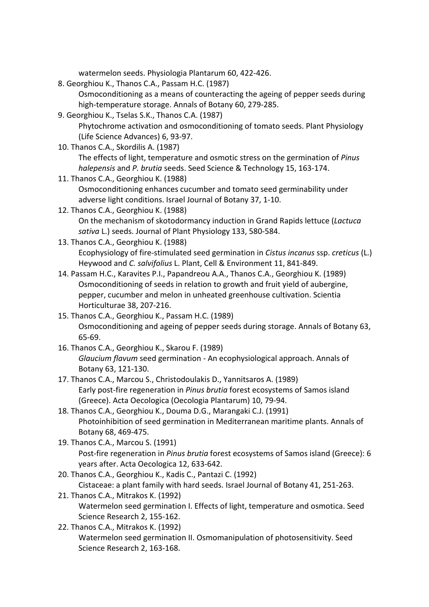watermelon seeds. Physiologia Plantarum 60, 422-426.

- 8. Georghiou K., Thanos C.A., Passam H.C. (1987) Osmoconditioning as a means of counteracting the ageing of pepper seeds during high-temperature storage. Annals of Botany 60, 279-285.
- 9. Georghiou K., Tselas S.K., Thanos C.A. (1987) Phytochrome activation and osmoconditioning of tomato seeds. Plant Physiology (Life Science Advances) 6, 93-97.
- 10. Thanos C.A., Skordilis A. (1987) The effects of light, temperature and osmotic stress on the germination of *Pinus halepensis* and *P. brutia* seeds. Seed Science & Technology 15, 163-174.
- 11. Thanos C.A., Georghiou K. (1988) Osmoconditioning enhances cucumber and tomato seed germinability under adverse light conditions. Israel Journal of Botany 37, 1-10.
- 12. Thanos C.A., Georghiou K. (1988) On the mechanism of skotodormancy induction in Grand Rapids lettuce (*Lactuca sativa* L.) seeds. Journal of Plant Physiology 133, 580-584.
- 13. Thanos C.A., Georghiou K. (1988) Ecophysiology of fire-stimulated seed germination in *Cistus incanus* ssp. *creticus* (L.) Heywood and *C. salvifolius* L. Plant, Cell & Environment 11, 841-849.
- 14. Passam H.C., Karavites P.I., Papandreou A.A., Thanos C.A., Georghiou K. (1989) Osmoconditioning of seeds in relation to growth and fruit yield of aubergine, pepper, cucumber and melon in unheated greenhouse cultivation. Scientia Horticulturae 38, 207-216.
- 15. Thanos C.A., Georghiou K., Passam H.C. (1989) Osmoconditioning and ageing of pepper seeds during storage. Annals of Botany 63, 65-69.
- 16. Thanos C.A., Georghiou K., Skarou F. (1989) *Glaucium flavum* seed germination - An ecophysiological approach. Annals of Botany 63, 121-130.
- 17. Thanos C.A., Marcou S., Christodoulakis D., Yannitsaros A. (1989) Early post-fire regeneration in *Pinus brutia* forest ecosystems of Samos island (Greece). Acta Oecologica (Oecologia Plantarum) 10, 79-94.
- 18. Thanos C.A., Georghiou K., Douma D.G., Marangaki C.J. (1991) Photoinhibition of seed germination in Mediterranean maritime plants. Annals of Botany 68, 469-475.
- 19. Thanos C.A., Marcou S. (1991) Post-fire regeneration in *Pinus brutia* forest ecosystems of Samos island (Greece): 6 years after. Acta Oecologica 12, 633-642.
- 20. Thanos C.A., Georghiou K., Kadis C., Pantazi C. (1992) Cistaceae: a plant family with hard seeds. Israel Journal of Botany 41, 251-263.
- 21. Thanos C.A., Mitrakos K. (1992) Watermelon seed germination I. Effects of light, temperature and osmotica. Seed Science Research 2, 155-162.
- 22. Thanos C.A., Mitrakos K. (1992) Watermelon seed germination II. Osmomanipulation of photosensitivity. Seed Science Research 2, 163-168.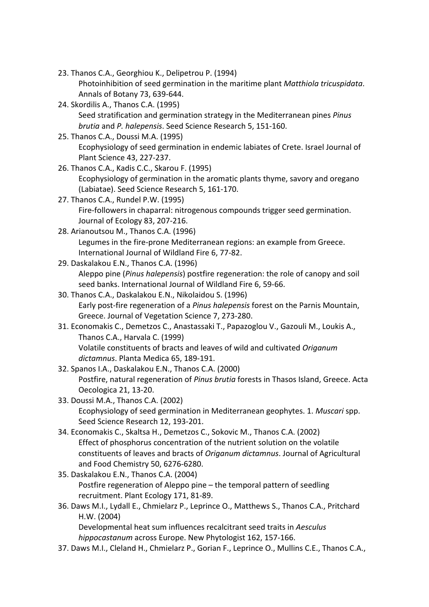- 23. Thanos C.A., Georghiou K., Delipetrou P. (1994)
	- Photoinhibition of seed germination in the maritime plant *Matthiola tricuspidata*. Annals of Botany 73, 639-644.
- 24. Skordilis A., Thanos C.A. (1995) Seed stratification and germination strategy in the Mediterranean pines *Pinus brutia* and *P. halepensis*. Seed Science Research 5, 151-160.
- 25. Thanos C.A., Doussi M.A. (1995) Ecophysiology of seed germination in endemic labiates of Crete. Israel Journal of Plant Science 43, 227-237.
- 26. Thanos C.A., Kadis C.C., Skarou F. (1995) Ecophysiology of germination in the aromatic plants thyme, savory and oregano (Labiatae). Seed Science Research 5, 161-170.
- 27. Thanos C.A., Rundel P.W. (1995) Fire-followers in chaparral: nitrogenous compounds trigger seed germination. Journal of Ecology 83, 207-216.
- 28. Arianoutsou M., Thanos C.A. (1996) Legumes in the fire-prone Mediterranean regions: an example from Greece. International Journal of Wildland Fire 6, 77-82.
- 29. Daskalakou E.N., Thanos C.A. (1996) Aleppo pine (*Pinus halepensis*) postfire regeneration: the role of canopy and soil seed banks. International Journal of Wildland Fire 6, 59-66.
- 30. Thanos C.A., Daskalakou E.N., Nikolaidou S. (1996) Early post-fire regeneration of a *Pinus halepensis* forest on the Parnis Mountain, Greece. Journal of Vegetation Science 7, 273-280.
- 31. Economakis C., Demetzos C., Anastassaki T., Papazoglou V., Gazouli M., Loukis A., Thanos C.A., Harvala C. (1999) Volatile constituents of bracts and leaves of wild and cultivated *Origanum dictamnus*. Planta Medica 65, 189-191.
- 32. Spanos I.A., Daskalakou E.N., Thanos C.A. (2000) Postfire, natural regeneration of *Pinus brutia* forests in Thasos Island, Greece. Acta Oecologica 21, 13-20.
- 33. Doussi M.A., Thanos C.A. (2002) Ecophysiology of seed germination in Mediterranean geophytes. 1. *Muscari* spp. Seed Science Research 12, 193-201.
- 34. Economakis C., Skaltsa H., Demetzos C., Sokovic M., Thanos C.A. (2002) Effect of phosphorus concentration of the nutrient solution on the volatile constituents of leaves and bracts of *Origanum dictamnus*. Journal of Agricultural and Food Chemistry 50, 6276-6280.
- 35. Daskalakou E.N., Thanos C.A. (2004) Postfire regeneration of Aleppo pine – the temporal pattern of seedling recruitment. Plant Ecology 171, 81-89.
- 36. Daws M.I., Lydall E., Chmielarz P., Leprince O., Matthews S., Thanos C.A., Pritchard H.W. (2004)

Developmental heat sum influences recalcitrant seed traits in *Aesculus hippocastanum* across Europe. New Phytologist 162, 157-166.

37. Daws M.I., Cleland H., Chmielarz P., Gorian F., Leprince O., Mullins C.E., Thanos C.A.,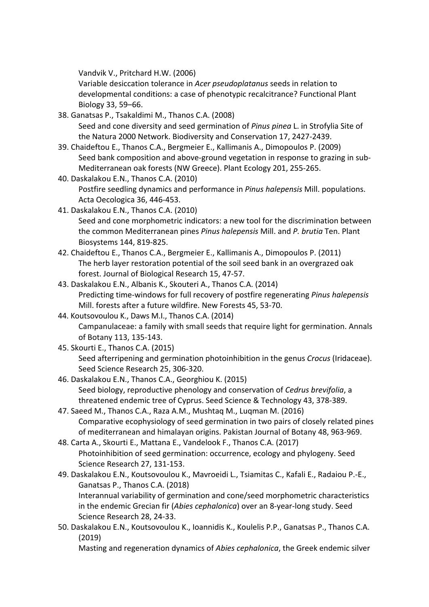Vandvik V., Pritchard H.W. (2006)

Variable desiccation tolerance in *Acer pseudoplatanus* seeds in relation to developmental conditions: a case of phenotypic recalcitrance? Functional Plant Biology 33, 59–66.

- 38. Ganatsas P., Tsakaldimi M., Thanos C.A. (2008) Seed and cone diversity and seed germination of *Pinus pinea* L. in Strofylia Site of the Natura 2000 Network. Biodiversity and Conservation 17, 2427-2439.
- 39. Chaideftou E., Thanos C.A., Bergmeier E., Kallimanis A., Dimopoulos P. (2009) Seed bank composition and above-ground vegetation in response to grazing in sub-Mediterranean oak forests (NW Greece). Plant Ecology 201, 255-265.
- 40. Daskalakou E.N., Thanos C.A. (2010) Postfire seedling dynamics and performance in *Pinus halepensis* Mill. populations. Acta Oecologica 36, 446-453.
- 41. Daskalakou E.N., Thanos C.A. (2010) Seed and cone morphometric indicators: a new tool for the discrimination between the common Mediterranean pines *Pinus halepensis* Mill. and *P. brutia* Ten. Plant Biosystems 144, 819-825.
- 42. Chaideftou E., Thanos C.A., Bergmeier E., Kallimanis A., Dimopoulos P. (2011) The herb layer restoration potential of the soil seed bank in an overgrazed oak forest. Journal of Biological Research 15, 47-57.
- 43. Daskalakou E.N., Albanis K., Skouteri A., Thanos C.A. (2014) Predicting time-windows for full recovery of postfire regenerating *Pinus halepensis* Mill. forests after a future wildfire. New Forests 45, 53-70.
- 44. Koutsovoulou K., Daws M.I., Thanos C.A. (2014) Campanulaceae: a family with small seeds that require light for germination. Annals of Botany 113, 135-143.
- 45. Skourti E., Thanos C.A. (2015) Seed afterripening and germination photoinhibition in the genus *Crocus* (Iridaceae). Seed Science Research 25, 306-320.
- 46. Daskalakou E.N., Thanos C.A., Georghiou K. (2015) Seed biology, reproductive phenology and conservation of *Cedrus brevifolia*, a threatened endemic tree of Cyprus. Seed Science & Technology 43, 378-389.
- 47. Saeed M., Thanos C.A., Raza A.M., Mushtaq M., Luqman M. (2016) [Comparative ecophysiology of seed germination in two pairs of closely related pines](https://www.researchgate.net/publication/303875260_Comparative_ecophysiology_of_seed_germination_in_two_pairs_of_closely_related_pines_of_mediterranean_and_himalayan_origins?ev=prf_high)  [of mediterranean and himalayan origins.](https://www.researchgate.net/publication/303875260_Comparative_ecophysiology_of_seed_germination_in_two_pairs_of_closely_related_pines_of_mediterranean_and_himalayan_origins?ev=prf_high) Pakistan Journal of Botany 48, 963-969.
- 48. Carta A., Skourti E., Mattana E., Vandelook F., Thanos C.A. (2017) Photoinhibition of seed germination: occurrence, ecology and phylogeny. Seed Science Research 27, 131-153.
- 49. Daskalakou E.N., Koutsovoulou K., Mavroeidi L., Tsiamitas C., Kafali E., Radaiou P.-E., Ganatsas P., Thanos C.A. (2018)

Interannual variability of germination and cone/seed morphometric characteristics in the endemic Grecian fir (*Abies cephalonica*) over an 8-year-long study. Seed Science Research 28, 24-33.

50. Daskalakou E.N., Koutsovoulou K., Ioannidis K., Koulelis P.P., Ganatsas P., Thanos C.A. (2019)

Masting and regeneration dynamics of *Abies cephalonica*, the Greek endemic silver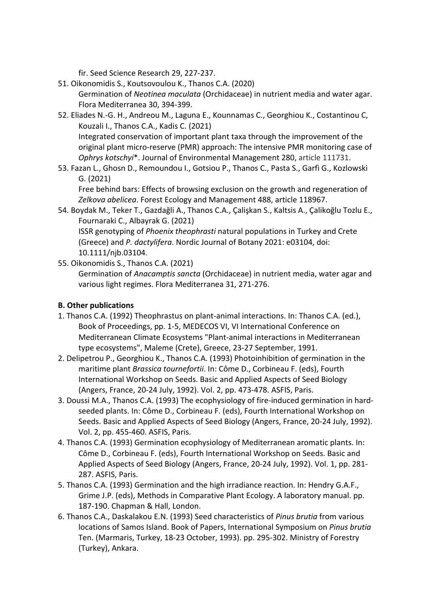fir. Seed Science Research 29, 227-237.

- 51. Oikonomidis S., Koutsovoulou K., Thanos C.A. (2020) Germination of *Neotinea maculata* (Orchidaceae) in nutrient media and water agar. Flora Mediterranea 30, 394-399.
- 52. Eliades N.-G. H., Andreou M., Laguna E., Kounnamas C., Georghiou K., Costantinou C, Kouzali I., Thanos C.A., Kadis C. (2021)

Integrated conservation of important plant taxa through the improvement of the original plant micro-reserve (PMR) approach: The intensive PMR monitoring case of *Ophrys kotschyi*\*. Journal of Environmental Management 280, article 111731.

53. Fazan L., Ghosn D., Remoundou I., Gotsiou P., Thanos C., Pasta S., Garfì G., Kozlowski G. (2021)

Free behind bars: Effects of browsing exclusion on the growth and regeneration of *Zelkova abelicea*. Forest Ecology and Management 488, article 118967.

- 54. Boydak M., Teker T., Gazdağli A., Thanos C.A., Çalişkan S., Kaltsis A., Çalikoğlu Tozlu E., Fournaraki C., Albayrak G. (2021) ISSR genotyping of *Phoenix theophrasti* natural populations in Turkey and Crete (Greece) and *P. dactylifera*. Nordic Journal of Botany 2021: e03104, doi: 10.1111/njb.03104.
- 55. Oikonomidis S., Thanos C.A. (2021) Germination of *Anacamptis sancta* (Orchidaceae) in nutrient media, water agar and various light regimes. Flora Mediterranea 31, 271-276.

# **B. Other publications**

- 1. Thanos C.A. (1992) Theophrastus on plant-animal interactions. In: Thanos C.A. (ed.), Book of Proceedings, pp. 1-5, MEDECOS VI, VI International Conference on Mediterranean Climate Ecosystems "Plant-animal interactions in Mediterranean type ecosystems", Maleme (Crete), Greece, 23-27 September, 1991.
- 2. Delipetrou P., Georghiou K., Thanos C.A. (1993) Photoinhibition of germination in the maritime plant *Brassica tournefortii*. In: Côme D., Corbineau F. (eds), Fourth International Workshop on Seeds. Basic and Applied Aspects of Seed Biology (Angers, France, 20-24 July, 1992). Vol. 2, pp. 473-478. ASFIS, Paris.
- 3. Doussi M.A., Thanos C.A. (1993) The ecophysiology of fire-induced germination in hardseeded plants. In: Côme D., Corbineau F. (eds), Fourth International Workshop on Seeds. Basic and Applied Aspects of Seed Biology (Angers, France, 20-24 July, 1992). Vol. 2, pp. 455-460. ASFIS, Paris.
- 4. Thanos C.A. (1993) Germination ecophysiology of Mediterranean aromatic plants. In: Côme D., Corbineau F. (eds), Fourth International Workshop on Seeds. Basic and Applied Aspects of Seed Biology (Angers, France, 20-24 July, 1992). Vol. 1, pp. 281- 287. ASFIS, Paris.
- 5. Thanos C.A. (1993) Germination and the high irradiance reaction. In: Hendry G.A.F., Grime J.P. (eds), Methods in Comparative Plant Ecology. A laboratory manual. pp. 187-190. Chapman & Hall, London.
- 6. Thanos C.A., Daskalakou E.N. (1993) Seed characteristics of *Pinus brutia* from various locations of Samos Island. Book of Papers, International Symposium on *Pinus brutia*  Ten. (Marmaris, Turkey, 18-23 October, 1993). pp. 295-302. Ministry of Forestry (Turkey), Ankara.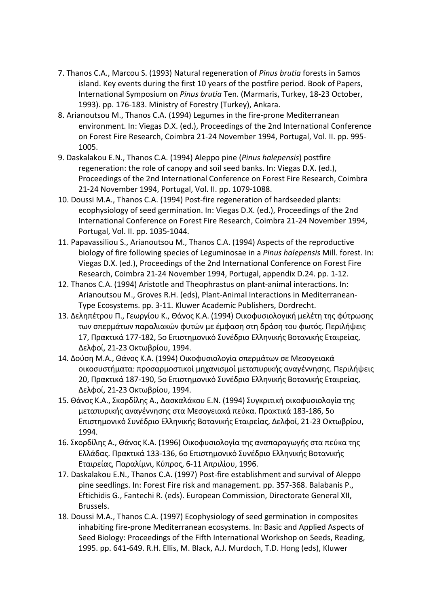- 7. Thanos C.A., Marcou S. (1993) Natural regeneration of *Pinus brutia* forests in Samos island. Key events during the first 10 years of the postfire period. Book of Papers, International Symposium on *Pinus brutia* Ten. (Marmaris, Turkey, 18-23 October, 1993). pp. 176-183. Ministry of Forestry (Turkey), Ankara.
- 8. Arianoutsou M., Thanos C.A. (1994) Legumes in the fire-prone Mediterranean environment. In: Viegas D.X. (ed.), Proceedings of the 2nd International Conference on Forest Fire Research, Coimbra 21-24 November 1994, Portugal, Vol. II. pp. 995- 1005.
- 9. Daskalakou E.N., Thanos C.A. (1994) Aleppo pine (*Pinus halepensis*) postfire regeneration: the role of canopy and soil seed banks. In: Viegas D.X. (ed.), Proceedings of the 2nd International Conference on Forest Fire Research, Coimbra 21-24 November 1994, Portugal, Vol. II. pp. 1079-1088.
- 10. Doussi M.A., Thanos C.A. (1994) Post-fire regeneration of hardseeded plants: ecophysiology of seed germination. In: Viegas D.X. (ed.), Proceedings of the 2nd International Conference on Forest Fire Research, Coimbra 21-24 November 1994, Portugal, Vol. II. pp. 1035-1044.
- 11. Papavassiliou S., Arianoutsou M., Thanos C.A. (1994) Aspects of the reproductive biology of fire following species of Leguminosae in a *Pinus halepensis* Mill. forest. In: Viegas D.X. (ed.), Proceedings of the 2nd International Conference on Forest Fire Research, Coimbra 21-24 November 1994, Portugal, appendix D.24. pp. 1-12.
- 12. Thanos C.A. (1994) Aristotle and Theophrastus on plant-animal interactions. In: Arianoutsou M., Groves R.H. (eds), Plant-Animal Interactions in Mediterranean-Type Ecosystems. pp. 3-11. Kluwer Academic Publishers, Dordrecht.
- 13. Δεληπέτρου Π., Γεωργίου Κ., Θάνος Κ.Α. (1994) Οικοφυσιολογική μελέτη της φύτρωσης των σπερμάτων παραλιακών φυτών με έμφαση στη δράση του φωτός. Περιλήψεις 17, Πρακτικά 177-182, 5ο Επιστημονικό Συνέδριο Ελληνικής Βοτανικής Εταιρείας, Δελφοί, 21-23 Οκτωβρίου, 1994.
- 14. Δούση Μ.Α., Θάνος Κ.Α. (1994) Οικοφυσιολογία σπερμάτων σε Μεσογειακά οικοσυστήματα: προσαρμοστικοί μηχανισμοί μεταπυρικής αναγέννησης. Περιλήψεις 20, Πρακτικά 187-190, 5ο Επιστημονικό Συνέδριο Ελληνικής Βοτανικής Εταιρείας, Δελφοί, 21-23 Οκτωβρίου, 1994.
- 15. Θάνος Κ.Α., Σκορδίλης Α., Δασκαλάκου Ε.Ν. (1994) Συγκριτική οικοφυσιολογία της μεταπυρικής αναγέννησης στα Μεσογειακά πεύκα. Πρακτικά 183-186, 5ο Επιστημονικό Συνέδριο Ελληνικής Βοτανικής Εταιρείας, Δελφοί, 21-23 Οκτωβρίου, 1994.
- 16. Σκορδίλης Α., Θάνος Κ.Α. (1996) Oικοφυσιολογία της αναπαραγωγής στα πεύκα της Ελλάδας. Πρακτικά 133-136, 6ο Επιστημονικό Συνέδριο Ελληνικής Βοτανικής Εταιρείας, Παραλίμνι, Κύπρος, 6-11 Απριλίου, 1996.
- 17. Daskalakou E.N., Thanos C.A. (1997) Post-fire establishment and survival of Aleppo pine seedlings. In: Forest Fire risk and management. pp. 357-368. Balabanis P., Eftichidis G., Fantechi R. (eds). European Commission, Directorate General XII, Brussels.
- 18. Doussi M.A., Thanos C.A. (1997) Ecophysiology of seed germination in composites inhabiting fire-prone Mediterranean ecosystems. In: Basic and Applied Aspects of Seed Biology: Proceedings of the Fifth International Workshop on Seeds, Reading, 1995. pp. 641-649. R.H. Ellis, M. Black, A.J. Murdoch, T.D. Hong (eds), Kluwer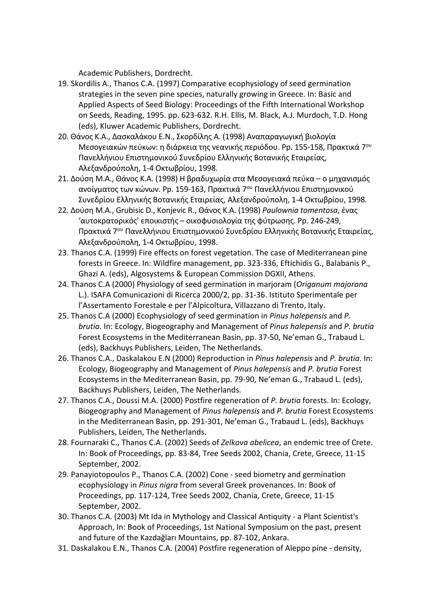Academic Publishers, Dordrecht.

- 19. Skordilis A., Thanos C.A. (1997) Comparative ecophysiology of seed germination strategies in the seven pine species, naturally growing in Greece. In: Basic and Applied Aspects of Seed Biology: Proceedings of the Fifth International Workshop on Seeds, Reading, 1995. pp. 623-632. R.H. Ellis, M. Black, A.J. Murdoch, T.D. Hong (eds), Kluwer Academic Publishers, Dordrecht.
- 20. Θάνος Κ.Α., Δασκαλάκου Ε.Ν., Σκορδίλης Α. (1998) Αναπαραγωγική βιολογία Μεσογειακών πεύκων: η διάρκεια της νεανικής περιόδου. Pp. 155-158, Πρακτικά 7ου Πανελλήνιου Επιστημονικού Συνεδρίου Ελληνικής Βοτανικής Εταιρείας, Αλεξανδρούπολη, 1-4 Οκτωβρίου, 1998.
- 21. Δούση Μ.Α., Θάνος Κ.Α. (1998) Η βραδυχωρία στα Μεσογειακά πεύκα ο μηχανισμός ανοίγματος των κώνων. Pp. 159-163, Πρακτικά 7ου Πανελλήνιου Επιστημονικού Συνεδρίου Ελληνικής Βοτανικής Εταιρείας, Αλεξανδρούπολη, 1-4 Οκτωβρίου, 1998.
- 22. Δούση Μ.Α., Grubisic D., Konjevic R., Θάνος Κ.Α. (1998) *Paulownia tomentosa*, ένας 'αυτοκρατορικός' εποικιστής – οικοφυσιολογία της φύτρωσης. Pp. 246-249, Πρακτικά 7ου Πανελλήνιου Επιστημονικού Συνεδρίου Ελληνικής Βοτανικής Εταιρείας, Αλεξανδρούπολη, 1-4 Οκτωβρίου, 1998.
- 23. Thanos C.A. (1999) Fire effects on forest vegetation. The case of Mediterranean pine forests in Greece. In: Wildfire management, pp. 323-336, Eftichidis G., Balabanis P., Ghazi A. (eds), Algosystems & European Commission DGXII, Athens.
- 24. Thanos C.A (2000) Physiology of seed germination in marjoram (*Origanum majorana*  L.). ISAFA Comunicazioni di Ricerca 2000/2, pp. 31-36. Istituto Sperimentale per l'Assertamento Forestale e per l'Alpicoltura, Villazzano di Trento, Italy.
- 25. Thanos C.A (2000) Ecophysiology of seed germination in *Pinus halepensis* and *P. brutia*. In: Ecology, Biogeography and Management of *Pinus halepensis* and *P. brutia*  Forest Ecosystems in the Mediterranean Basin, pp. 37-50, Ne'eman G., Trabaud L. (eds), Backhuys Publishers, Leiden, The Netherlands.
- 26. Thanos C.A., Daskalakou E.N (2000) Reproduction in *Pinus halepensis* and *P. brutia*. In: Ecology, Biogeography and Management of *Pinus halepensis* and *P. brutia* Forest Ecosystems in the Mediterranean Basin, pp. 79-90, Ne'eman G., Trabaud L. (eds), Backhuys Publishers, Leiden, The Netherlands.
- 27. Thanos C.A., Doussi M.A. (2000) Postfire regeneration of *P. brutia* forests. In: Ecology, Biogeography and Management of *Pinus halepensis* and *P. brutia* Forest Ecosystems in the Mediterranean Basin, pp. 291-301, Ne'eman G., Trabaud L. (eds), Backhuys Publishers, Leiden, The Netherlands.
- 28. Fournaraki C., Thanos C.A. (2002) Seeds of *Zelkova abelicea*, an endemic tree of Crete. In: Book of Proceedings, pp. 83-84, Tree Seeds 2002, Chania, Crete, Greece, 11-15 September, 2002.
- 29. Panayiotopoulos P., Thanos C.A. (2002) Cone seed biometry and germination ecophysiology in *Pinus nigra* from several Greek provenances. In: Book of Proceedings, pp. 117-124, Tree Seeds 2002, Chania, Crete, Greece, 11-15 September, 2002.
- 30. Thanos C.A. (2003) Mt Ida in Mythology and Classical Antiquity a Plant Scientist's Approach, In: Book of Proceedings, 1st National Symposium on the past, present and future of the Kazdağları Mountains, pp. 87-102, Ankara.
- 31. Daskalakou E.N., Thanos C.A. (2004) Postfire regeneration of Aleppo pine density,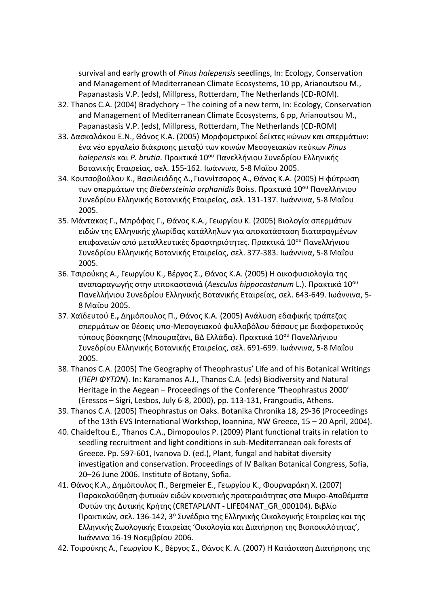survival and early growth of *Pinus halepensis* seedlings, In: Ecology, Conservation and Management of Mediterranean Climate Ecosystems, 10 pp, Arianoutsou M., Papanastasis V.P. (eds), Millpress, Rotterdam, The Netherlands (CD-ROM).

- 32. Thanos C.A. (2004) Bradychory The coining of a new term, In: Ecology, Conservation and Management of Mediterranean Climate Ecosystems, 6 pp, Arianoutsou M., Papanastasis V.P. (eds), Millpress, Rotterdam, The Netherlands (CD-ROM)
- 33. Δασκαλάκου Ε.N., Θάνος Κ.Α. (2005) Μορφομετρικοί δείκτες κώνων και σπερμάτων: ένα νέο εργαλείο διάκρισης μεταξύ των κοινών Μεσογειακών πεύκων *Pinus halepensis* και *P. brutia*. Πρακτικά 10ου Πανελλήνιου Συνεδρίου Ελληνικής Βοτανικής Εταιρείας, σελ. 155-162. Ιωάννινα, 5-8 Μαΐου 2005.
- 34. Κουτσοβούλου Κ., Βασιλειάδης Δ., Γιαννίτσαρος Α., Θάνος Κ.Α. (2005) Η φύτρωση των σπερμάτων της *Biebersteinia orphanidis* Boiss. Πρακτικά 10ου Πανελλήνιου Συνεδρίου Ελληνικής Βοτανικής Εταιρείας, σελ. 131-137. Ιωάννινα, 5-8 Μαΐου 2005.
- 35. Μάντακας Γ., Μπρόφας Γ., Θάνος Κ.Α., Γεωργίου Κ. (2005) Βιολογία σπερμάτων ειδών της Ελληνικής χλωρίδας κατάλληλων για αποκατάσταση διαταραγμένων επιφανειών από μεταλλευτικές δραστηριότητες. Πρακτικά 10ου Πανελλήνιου Συνεδρίου Ελληνικής Βοτανικής Εταιρείας, σελ. 377-383. Ιωάννινα, 5-8 Μαΐου 2005.
- 36. Τσιρούκης Α., Γεωργίου Κ., Βέργος Σ., Θάνος Κ.Α. (2005) Η οικοφυσιολογία της αναπαραγωγής στην ιπποκαστανιά (*Aesculus hippocastanum* L.). Πρακτικά 10ου Πανελλήνιου Συνεδρίου Ελληνικής Βοτανικής Εταιρείας, σελ. 643-649. Ιωάννινα, 5- 8 Μαΐου 2005.
- 37. Χαϊδευτού Ε.**,** Δημόπουλος Π., Θάνος Κ.Α. (2005) Ανάλυση εδαφικής τράπεζας σπερμάτων σε θέσεις υπο-Μεσογειακού φυλλοβόλου δάσους με διαφορετικούς τύπους βόσκησης (Μπουραζάνι, ΒΔ Ελλάδα). Πρακτικά 10ου Πανελλήνιου Συνεδρίου Ελληνικής Βοτανικής Εταιρείας, σελ. 691-699. Ιωάννινα, 5-8 Μαΐου 2005.
- 38. Thanos C.A. (2005) The Geography of Theophrastus' Life and of his Botanical Writings (*ΠΕΡΙ ΦΥΤΩΝ*). In: Karamanos A.J., Thanos C.A. (eds) Biodiversity and Natural Heritage in the Aegean – Proceedings of the Conference 'Theophrastus 2000' (Eressos – Sigri, Lesbos, July 6-8, 2000), pp. 113-131, Frangoudis, Athens.
- 39. Thanos C.A. (2005) Theophrastus on Oaks. Botanika Chronika 18, 29-36 (Proceedings of the 13th EVS International Workshop, Ioannina, NW Greece, 15 – 20 April, 2004).
- 40. Chaideftou E., Thanos C.A., Dimopoulos P. (2009) Plant functional traits in relation to seedling recruitment and light conditions in sub-Mediterranean oak forests of Greece. Pp. 597-601, Ivanova D. (ed.), Plant, fungal and habitat diversity investigation and conservation. Proceedings of IV Balkan Botanical Congress, Sofia, 20–26 June 2006. Institute of Botany, Sofia.
- 41. Θάνος Κ.Α., Δημόπουλος Π., Bergmeier E., Γεωργίου Κ., Φουρναράκη Χ. (2007) Παρακολούθηση φυτικών ειδών κοινοτικής προτεραιότητας στα Μικρο-Αποθέματα Φυτών της Δυτικής Κρήτης (CRETAPLANT - LIFE04NAT\_GR\_000104). Βιβλίο Πρακτικών, σελ. 136-142, 3<sup>ο</sup> Συνέδριο της Ελληνικής Οικολογικής Εταιρείας και της Ελληνικής Ζωολογικής Εταιρείας 'Οικολογία και Διατήρηση της Βιοποικιλότητας', Ιωάννινα 16-19 Νοεμβρίου 2006.
- 42. Τσιρούκης Α., Γεωργίου Κ., Βέργος Σ., Θάνος Κ. Α. (2007) Η Κατάσταση Διατήρησης της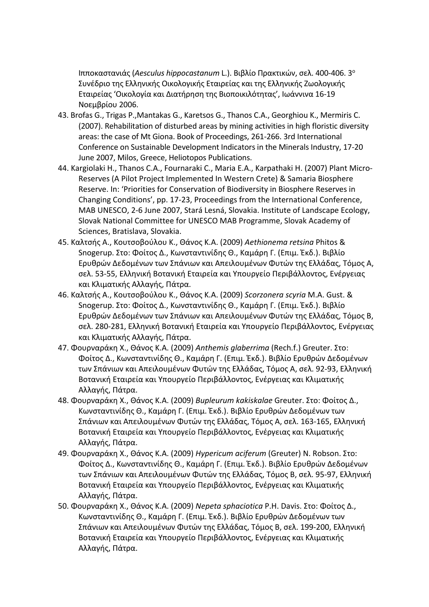Ιπποκαστανιάς (*Aesculus hippocastanum* L.). Βιβλίο Πρακτικών, σελ. 400-406. 3<sup>ο</sup> Συνέδριο της Ελληνικής Οικολογικής Εταιρείας και της Ελληνικής Ζωολογικής Εταιρείας 'Οικολογία και Διατήρηση της Βιοποικιλότητας', Ιωάννινα 16-19 Νοεμβρίου 2006.

- 43. Brofas G., Trigas P.,Mantakas G., Karetsos G., Thanos C.A., Georghiou K., Mermiris C. (2007). Rehabilitation of disturbed areas by mining activities in high floristic diversity areas: the case of Mt Giona. Book of Proceedings, 261-266. 3rd International Conference on Sustainable Development Indicators in the Minerals Industry, 17-20 June 2007, Milos, Greece, Heliotopos Publications.
- 44. Kargiolaki H., Thanos C.A., Fournaraki C., Maria E.A., Karpathaki H. (2007) Plant Micro-Reserves (A Pilot Project Implemented In Western Crete) & Samaria Biosphere Reserve. In: 'Priorities for Conservation of Biodiversity in Biosphere Reserves in Changing Conditions', pp. 17-23, Proceedings from the International Conference, MAB UNESCO, 2-6 June 2007, Stará Lesná, Slovakia. Institute of Landscape Ecology, Slovak National Committee for UNESCO MAB Programme, Slovak Academy of Sciences, Bratislava, Slovakia.
- 45. Καλτσής Α., Κουτσοβούλου Κ., Θάνος Κ.Α. (2009) *Aethionema retsina* Phitos & Snogerup. Στο: Φοίτος Δ., Κωνσταντινίδης Θ., Καμάρη Γ. (Επιμ. Έκδ.). Βιβλίο Ερυθρών Δεδομένων των Σπάνιων και Απειλουμένων Φυτών της Ελλάδας, Τόμος Α, σελ. 53-55, Ελληνική Βοτανική Εταιρεία και Υπουργείο Περιβάλλοντος, Ενέργειας και Κλιματικής Αλλαγής, Πάτρα.
- 46. Καλτσής Α., Κουτσοβούλου Κ., Θάνος Κ.Α. (2009) *Scorzonera scyria* M.A. Gust. & Snogerup. Στο: Φοίτος Δ., Κωνσταντινίδης Θ., Καμάρη Γ. (Επιμ. Έκδ.). Βιβλίο Ερυθρών Δεδομένων των Σπάνιων και Απειλουμένων Φυτών της Ελλάδας, Τόμος Β, σελ. 280-281, Ελληνική Βοτανική Εταιρεία και Υπουργείο Περιβάλλοντος, Ενέργειας και Κλιματικής Αλλαγής, Πάτρα.
- 47. Φουρναράκη Χ., Θάνος Κ.Α. (2009) *Anthemis glaberrima* (Rech.f.) Greuter. Στο: Φοίτος Δ., Κωνσταντινίδης Θ., Καμάρη Γ. (Επιμ. Έκδ.). Βιβλίο Ερυθρών Δεδομένων των Σπάνιων και Απειλουμένων Φυτών της Ελλάδας, Τόμος Α, σελ. 92-93, Ελληνική Βοτανική Εταιρεία και Υπουργείο Περιβάλλοντος, Ενέργειας και Κλιματικής Αλλαγής, Πάτρα.
- 48. Φουρναράκη Χ., Θάνος Κ.Α. (2009) *Bupleurum kakiskalae* Greuter. Στο: Φοίτος Δ., Κωνσταντινίδης Θ., Καμάρη Γ. (Επιμ. Έκδ.). Βιβλίο Ερυθρών Δεδομένων των Σπάνιων και Απειλουμένων Φυτών της Ελλάδας, Τόμος Α, σελ. 163-165, Ελληνική Βοτανική Εταιρεία και Υπουργείο Περιβάλλοντος, Ενέργειας και Κλιματικής Αλλαγής, Πάτρα.
- 49. Φουρναράκη Χ., Θάνος Κ.Α. (2009) *Hypericum aciferum* (Greuter) N. Robson. Στο: Φοίτος Δ., Κωνσταντινίδης Θ., Καμάρη Γ. (Επιμ. Έκδ.). Βιβλίο Ερυθρών Δεδομένων των Σπάνιων και Απειλουμένων Φυτών της Ελλάδας, Τόμος B, σελ. 95-97, Ελληνική Βοτανική Εταιρεία και Υπουργείο Περιβάλλοντος, Ενέργειας και Κλιματικής Αλλαγής, Πάτρα.
- 50. Φουρναράκη Χ., Θάνος Κ.Α. (2009) *Nepeta sphaciotica* P.H. Davis. Στο: Φοίτος Δ., Κωνσταντινίδης Θ., Καμάρη Γ. (Επιμ. Έκδ.). Βιβλίο Ερυθρών Δεδομένων των Σπάνιων και Απειλουμένων Φυτών της Ελλάδας, Τόμος B, σελ. 199-200, Ελληνική Βοτανική Εταιρεία και Υπουργείο Περιβάλλοντος, Ενέργειας και Κλιματικής Αλλαγής, Πάτρα.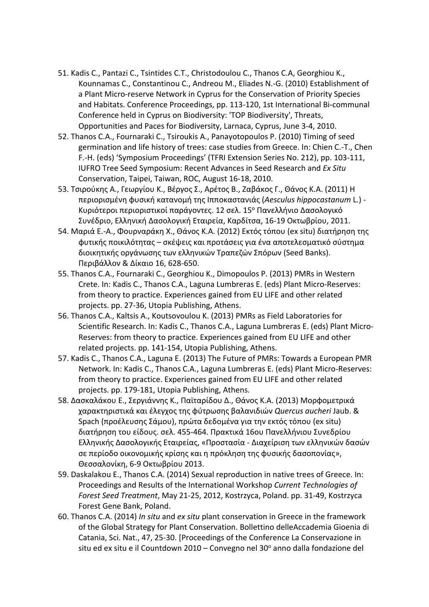- 51. Kadis C., Pantazi C., Tsintides C.T., Christodoulou C., Thanos C.A, Georghiou K., Kounnamas C., Constantinou C., Andreou M., Eliades N.-G. (2010) Establishment of a Plant Micro-reserve Network in Cyprus for the Conservation of Priority Species and Habitats. Conference Proceedings, pp. 113-120, 1st International Bi-communal Conference held in Cyprus on Biodiversity: 'TOP Biodiversity', Threats, Opportunities and Paces for Biodiversity, Larnaca, Cyprus, June 3-4, 2010.
- 52. Thanos C.A., Fournaraki C., Tsiroukis A., Panayotopoulos P. (2010) Timing of seed germination and life history of trees: case studies from Greece. In: Chien C.-T., Chen F.-H. (eds) 'Symposium Proceedings' (TFRI Extension Series No. 212), pp. 103-111, IUFRO Tree Seed Symposium: Recent Advances in Seed Research and *Ex Situ*  Conservation, Taipei, Taiwan, ROC, August 16-18, 2010.
- 53. Τσιρούκης Α., Γεωργίου Κ., Βέργος Σ., Αρέτος Β., Ζαβάκος Γ., Θάνος K.Α. (2011) Η περιορισμένη φυσική κατανομή της Ιπποκαστανιάς (*Aesculus hippocastanum* L*.*) - Κυριότεροι περιοριστικοί παράγοντες. 12 σελ. 15<sup>ο</sup> Πανελλήνιο Δασολογικό Συνέδριο, Ελληνική Δασολογική Εταιρεία, Καρδίτσα, 16-19 Οκτωβρίου, 2011.
- 54. Μαριά Ε.-Α., Φουρναράκη Χ., Θάνος Κ.Α. (2012) Εκτός τόπου (ex situ) διατήρηση της φυτικής ποικιλότητας – σκέψεις και προτάσεις για ένα αποτελεσματικό σύστημα διοικητικής οργάνωσης των ελληνικών Τραπεζών Σπόρων (Seed Banks). Περιβάλλον & Δίκαιο 16, 628-650.
- 55. Thanos C.A., Fournaraki C., Georghiou K., Dimopoulos P. (2013) PMRs in Western Crete. In: Kadis C., Thanos C.A., Laguna Lumbreras E. (eds) Plant Micro-Reserves: from theory to practice. Experiences gained from EU LIFE and other related projects. pp. 27-36, Utopia Publishing, Athens.
- 56. Thanos C.A., Kaltsis A., Koutsovoulou K. (2013) PMRs as Field Laboratories for Scientific Research. In: Kadis C., Thanos C.A., Laguna Lumbreras E. (eds) Plant Micro-Reserves: from theory to practice. Experiences gained from EU LIFE and other related projects. pp. 141-154, Utopia Publishing, Athens.
- 57. Kadis C., Thanos C.A., Laguna E. (2013) The Future of PMRs: Towards a European PMR Network. In: Kadis C., Thanos C.A., Laguna Lumbreras E. (eds) Plant Micro-Reserves: from theory to practice. Experiences gained from EU LIFE and other related projects. pp. 179-181, Utopia Publishing, Athens.
- 58. Δασκαλάκου Ε., Σεργιάννης Κ., Παϊταρίδου Δ., Θάνος Κ.Α. (2013) Μορφομετρικά χαρακτηριστικά και έλεγχος της φύτρωσης βαλανιδιών *Quercus aucheri* Jaub. & Spach (προέλευσης Σάμου), πρώτα δεδομένα για την εκτός τόπου (ex situ) διατήρηση του είδους. σελ. 455-464. Πρακτικά 16ου Πανελλήνιου Συνεδρίου Ελληνικής Δασολογικής Εταιρείας, «Προστασία - Διαχείριση των ελληνικών δασών σε περίοδο οικονομικής κρίσης και η πρόκληση της φυσικής δασοπονίας», Θεσσαλονίκη, 6-9 Οκτωβρίου 2013.
- 59. Daskalakou E., Thanos C.A. (2014) Sexual reproduction in native trees of Greece. In: Proceedings and Results of the International Workshop *Current Technologies of Forest Seed Treatment*, May 21-25, 2012, Kostrzyca, Poland. pp. 31-49, Kostrzyca Forest Gene Bank, Poland.
- 60. Thanos C.A. (2014) *In situ* and *ex situ* plant conservation in Greece in the framework of the Global Strategy for Plant Conservation. Bollettino delleAccademia Gioenia di Catania, Sci. Nat., 47, 25-30. [Proceedings of the Conference La Conservazione in situ ed ex situ e il Countdown 2010 – Convegno nel 30 $^{\circ}$  anno dalla fondazione del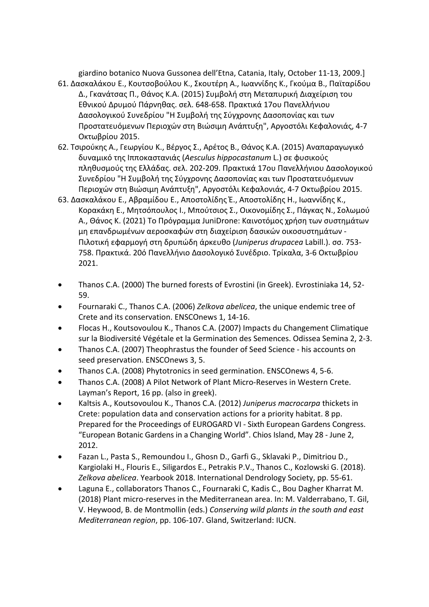giardino botanico Nuova Gussonea dell'Etna, Catania, Italy, October 11-13, 2009.]

- 61. Δασκαλάκου Ε., Κουτσοβούλου Κ., Σκουτέρη Α., Ιωαννίδης Κ., Γκούμα Β., Παϊταρίδου Δ., Γκανάτσας Π., Θάνος Κ.Α. (2015) Συμβολή στη Μεταπυρική Διαχείριση του Εθνικού Δρυμού Πάρνηθας. σελ. 648-658. Πρακτικά 17ου Πανελλήνιου Δασολογικού Συνεδρίου "Η Συμβολή της Σύγχρονης Δασοπονίας και των Προστατευόμενων Περιοχών στη Βιώσιμη Ανάπτυξη", Αργοστόλι Κεφαλονιάς, 4-7 Οκτωβρίου 2015.
- 62. Τσιρούκης Α., Γεωργίου Κ., Βέργος Σ., Αρέτος Β., Θάνος Κ.Α. (2015) Αναπαραγωγικό δυναμικό της Ιπποκαστανιάς (*Aesculus hippocastanum* L.) σε φυσικούς πληθυσμούς της Ελλάδας. σελ. 202-209. Πρακτικά 17ου Πανελλήνιου Δασολογικού Συνεδρίου "Η Συμβολή της Σύγχρονης Δασοπονίας και των Προστατευόμενων Περιοχών στη Βιώσιμη Ανάπτυξη", Αργοστόλι Κεφαλονιάς, 4-7 Οκτωβρίου 2015.
- 63. Δασκαλάκου Ε., Αβραμίδου Ε., Αποστολίδης Έ., Αποστολίδης Η., Ιωαννίδης Κ., Κορακάκη Ε., Μητσόπουλος Ι., Μπούτσιος Σ., Οικονομίδης Σ., Πάγκας Ν., Σολωμού Α., Θάνος Κ. (2021) Το Πρόγραμμα JuniDrone: Καινοτόμος χρήση των συστημάτων μη επανδρωμένων αεροσκαφών στη διαχείριση δασικών οικοσυστημάτων - Πιλοτική εφαρμογή στη δρυπώδη άρκευθο (*Juniperus drupacea* Labill.). σσ. 753- 758. Πρακτικά. 20ό Πανελλήνιο Δασολογικό Συνέδριο. Τρίκαλα, 3-6 Οκτωβρίου 2021.
- Thanos C.A. (2000) The burned forests of Evrostini (in Greek). Evrostiniaka 14, 52- 59.
- Fournaraki C., Thanos C.A. (2006) *Zelkova abelicea*, the unique endemic tree of Crete and its conservation. ENSCOnews 1, 14-16.
- Flocas H., Koutsovoulou K., Thanos C.A. (2007) Impacts du Changement Climatique sur la Biodiversité Végétale et la Germination des Semences. Odissea Semina 2, 2-3.
- Thanos C.A. (2007) Theophrastus the founder of Seed Science his accounts on seed preservation. ENSCOnews 3, 5.
- Thanos C.A. (2008) Phytotronics in seed germination. ENSCOnews 4, 5-6.
- Thanos C.A. (2008) A Pilot Network of Plant Micro-Reserves in Western Crete. Layman's Report, 16 pp. (also in greek).
- Kaltsis A., Koutsovoulou K., Thanos C.A. (2012) *Juniperus macrocarpa* thickets in Crete: population data and conservation actions for a priority habitat. 8 pp. Prepared for the Proceedings of EUROGARD VI - Sixth European Gardens Congress. "European Botanic Gardens in a Changing World". Chios Island, May 28 - June 2, 2012.
- Fazan L., Pasta S., Remoundou I., Ghosn D., Garfi G., Sklavaki P., Dimitriou D., Kargiolaki H., Flouris E., Siligardos E., Petrakis P.V., Thanos C., Kozlowski G. (2018). *Zelkova abelicea*. Yearbook 2018. International Dendrology Society, pp. 55-61.
- Laguna E., collaborators Thanos C., Fournaraki C, Kadis C., Bou Dagher Kharrat M. (2018) Plant micro-reserves in the Mediterranean area. In: M. Valderrabano, T. Gil, V. Heywood, B. de Montmollin (eds.) *Conserving wild plants in the south and east Mediterranean region*, pp. 106-107. Gland, Switzerland: IUCN.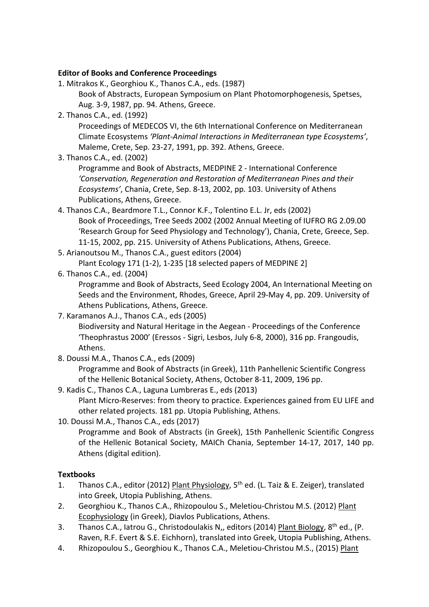#### **Editor of Books and Conference Proceedings**

- 1. Mitrakos K., Georghiou K., Thanos C.A., eds. (1987) Book of Abstracts, European Symposium on Plant Photomorphogenesis, Spetses, Aug. 3-9, 1987, pp. 94. Athens, Greece.
- 2. Thanos C.A., ed. (1992)

Proceedings of MEDECOS VI, the 6th International Conference on Mediterranean Climate Ecosystems *'Plant-Animal Interactions in Mediterranean type Ecosystems'*, Maleme, Crete, Sep. 23-27, 1991, pp. 392. Athens, Greece.

3. Thanos C.A., ed. (2002)

Programme and Book of Abstracts, MEDPINE 2 - International Conference *'Conservation, Regeneration and Restoration of Mediterranean Pines and their Ecosystems'*, Chania, Crete, Sep. 8-13, 2002, pp. 103. University of Athens Publications, Athens, Greece.

- 4. Thanos C.A., Beardmore T.L., Connor K.F., Tolentino E.L. Jr, eds (2002) Book of Proceedings, Tree Seeds 2002 (2002 Annual Meeting of IUFRO RG 2.09.00 'Research Group for Seed Physiology and Technology'), Chania, Crete, Greece, Sep. 11-15, 2002, pp. 215. University of Athens Publications, Athens, Greece.
- 5. Arianoutsou M., Thanos C.A., guest editors (2004)

Plant Ecology 171 (1-2), 1-235 [18 selected papers of MEDPINE 2]

6. Thanos C.A., ed. (2004)

Programme and Book of Abstracts, Seed Ecology 2004, An International Meeting on Seeds and the Environment, Rhodes, Greece, April 29-May 4, pp. 209. University of Athens Publications, Athens, Greece.

7. Karamanos A.J., Thanos C.A., eds (2005)

Biodiversity and Natural Heritage in the Aegean - Proceedings of the Conference 'Theophrastus 2000' (Eressos - Sigri, Lesbos, July 6-8, 2000), 316 pp. Frangoudis, Athens.

8. Doussi M.A., Thanos C.A., eds (2009)

Programme and Book of Abstracts (in Greek), 11th Panhellenic Scientific Congress of the Hellenic Botanical Society, Athens, October 8-11, 2009, 196 pp.

- 9. Kadis C., Thanos C.A., Laguna Lumbreras E., eds (2013) Plant Micro-Reserves: from theory to practice. Experiences gained from EU LIFE and other related projects. 181 pp. Utopia Publishing, Athens.
- 10. Doussi M.A., Thanos C.A., eds (2017)

Programme and Book of Abstracts (in Greek), 15th Panhellenic Scientific Congress of the Hellenic Botanical Society, MAICh Chania, September 14-17, 2017, 140 pp. Athens (digital edition).

#### **Textbooks**

- 1. Thanos C.A., editor (2012) Plant Physiology, 5<sup>th</sup> ed. (L. Taiz & E. Zeiger), translated into Greek, Utopia Publishing, Athens.
- 2. Georghiou K., Thanos C.A., Rhizopoulou S., Meletiou-Christou M.S. (2012) Plant Ecophysiology (in Greek), Diavlos Publications, Athens.
- 3. Thanos C.A., latrou G., Christodoulakis N,, editors (2014) Plant Biology, 8<sup>th</sup> ed., (P. Raven, R.F. Evert & S.E. Eichhorn), translated into Greek, Utopia Publishing, Athens.
- 4. Rhizopoulou S., Georghiou K., Thanos C.A., Meletiou-Christou M.S., (2015) Plant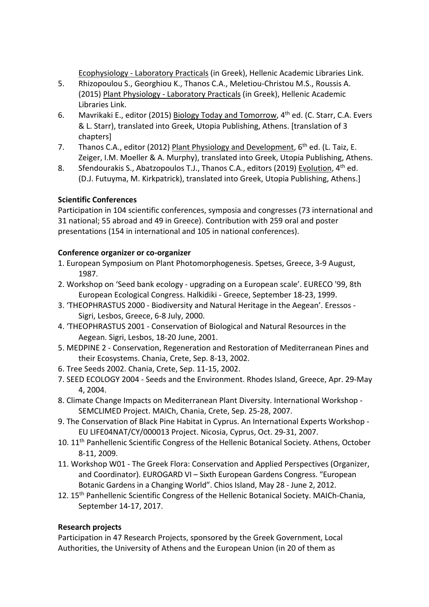Ecophysiology - Laboratory Practicals (in Greek), Hellenic Academic Libraries Link.

- 5. Rhizopoulou S., Georghiou K., Thanos C.A., Meletiou-Christou M.S., Roussis A. (2015) Plant Physiology - Laboratory Practicals (in Greek), Hellenic Academic Libraries Link.
- 6. Mavrikaki E., editor (2015) Biology Today and Tomorrow, 4th ed. (C. Starr, C.A. Evers & L. Starr), translated into Greek, Utopia Publishing, Athens. [translation of 3 chapters]
- 7. Thanos C.A., editor (2012) Plant Physiology and Development,  $6<sup>th</sup>$  ed. (L. Taiz, E. Zeiger, I.M. Moeller & A. Murphy), translated into Greek, Utopia Publishing, Athens.
- 8. Sfendourakis S., Abatzopoulos T.J., Thanos C.A., editors (2019) Evolution, 4<sup>th</sup> ed. (D.J. Futuyma, M. Kirkpatrick), translated into Greek, Utopia Publishing, Athens.]

# **Scientific Conferences**

Participation in 104 scientific conferences, symposia and congresses (73 international and 31 national; 55 abroad and 49 in Greece). Contribution with 259 oral and poster presentations (154 in international and 105 in national conferences).

## **Conference organizer or co-organizer**

- 1. European Symposium on Plant Photomorphogenesis. Spetses, Greece, 3-9 August, 1987.
- 2. Workshop on 'Seed bank ecology upgrading on a European scale'. EURECO '99, 8th European Ecological Congress. Halkidiki - Greece, September 18-23, 1999.
- 3. 'THEOPHRASTUS 2000 Biodiversity and Natural Heritage in the Aegean'. Eressos Sigri, Lesbos, Greece, 6-8 July, 2000.
- 4. 'THEOPHRASTUS 2001 Conservation of Biological and Natural Resources in the Aegean. Sigri, Lesbos, 18-20 June, 2001.
- 5. MEDPINE 2 Conservation, Regeneration and Restoration of Mediterranean Pines and their Ecosystems. Chania, Crete, Sep. 8-13, 2002.
- 6. Tree Seeds 2002. Chania, Crete, Sep. 11-15, 2002.
- 7. SEED ECOLOGY 2004 Seeds and the Environment. Rhodes Island, Greece, Apr. 29-May 4, 2004.
- 8. Climate Change Impacts on Mediterranean Plant Diversity. International Workshop SEMCLIMED Project. MAICh, Chania, Crete, Sep. 25-28, 2007.
- 9. The Conservation of Black Pine Habitat in Cyprus. An International Experts Workshop EU LIFE04NAT/CY/000013 Project. Nicosia, Cyprus, Oct. 29-31, 2007.
- 10. 11<sup>th</sup> Panhellenic Scientific Congress of the Hellenic Botanical Society. Athens, October 8-11, 2009.
- 11. Workshop W01 The Greek Flora: Conservation and Applied Perspectives (Organizer, and Coordinator). EUROGARD VI – Sixth European Gardens Congress. "European Botanic Gardens in a Changing World". Chios Island, May 28 - June 2, 2012.
- 12. 15th Panhellenic Scientific Congress of the Hellenic Botanical Society. MAICh-Chania, September 14-17, 2017.

# **Research projects**

Participation in 47 Research Projects, sponsored by the Greek Government, Local Authorities, the University of Athens and the European Union (in 20 of them as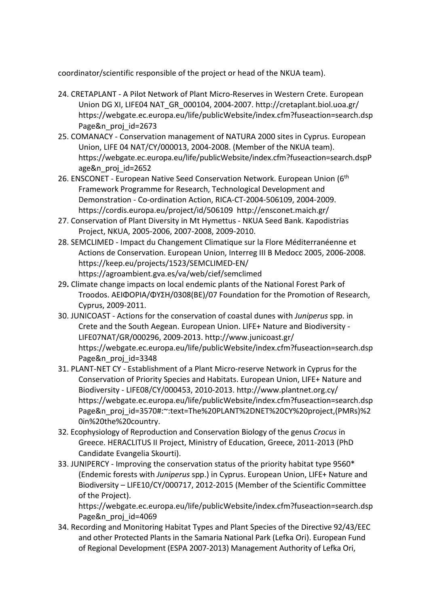coordinator/scientific responsible of the project or head of the NKUA team).

- 24. CRETAPLANT A Pilot Network of Plant Micro-Reserves in Western Crete. European Union DG XI, LIFE04 NAT\_GR\_000104, 2004-2007. <http://cretaplant.biol.uoa.gr/> https://webgate.ec.europa.eu/life/publicWebsite/index.cfm?fuseaction=search.dsp Page&n proj id=2673
- 25. COMANACY Conservation management of NATURA 2000 sites in Cyprus. European Union, LIFE 04 NAT/CY/000013, 2004-2008. (Member of the NKUA team). https://webgate.ec.europa.eu/life/publicWebsite/index.cfm?fuseaction=search.dspP age&n\_proj\_id=2652
- 26. ENSCONET European Native Seed Conservation Network. European Union (6<sup>th</sup> Framework Programme for Research, Technological Development and Demonstration - Co-ordination Action, RICA-CT-2004-506109, 2004-2009. <https://cordis.europa.eu/project/id/506109>http://ensconet.maich.gr/
- 27. Conservation of Plant Diversity in Mt Hymettus NKUA Seed Bank. Kapodistrias Project, NKUA, 2005-2006, 2007-2008, 2009-2010.
- 28. SEMCLIMED Impact du Changement Climatique sur la Flore Méditerranéenne et Actions de Conservation. European Union, Interreg III B Medocc 2005, 2006-2008. <https://keep.eu/projects/1523/SEMCLIMED-EN/> https://agroambient.gva.es/va/web/cief/semclimed
- 29**.** Climate change impacts on local endemic plants of the National Forest Park of Troodos. ΑΕΙΦΟΡΙΑ/ΦΥΣΗ/0308(ΒΕ)/07 Foundation for the Promotion of Research, Cyprus, 2009-2011.
- 30. JUNICOAST Actions for the conservation of coastal dunes with *Juniperus* spp. in Crete and the South Aegean. European Union. LIFE+ Nature and Biodiversity - LIFE07NAT/GR/000296, 2009-2013. http://www.junicoast.gr/ https://webgate.ec.europa.eu/life/publicWebsite/index.cfm?fuseaction=search.dsp Page&n proj id=3348
- 31. PLANT-NET CY Establishment of a Plant Micro-reserve Network in Cyprus for the Conservation of Priority Species and Habitats. European Union, LIFE+ Nature and Biodiversity - LIFE08/CY/000453, 2010-2013. http://www.plantnet.org.cy/ https://webgate.ec.europa.eu/life/publicWebsite/index.cfm?fuseaction=search.dsp Page&n\_proj\_id=3570#:~:text=The%20PLANT%2DNET%20CY%20project,(PMRs)%2 0in%20the%20country.
- 32. Ecophysiology of Reproduction and Conservation Biology of the genus *Crocus* in Greece. HERACLITUS ΙΙ Project, Ministry of Education, Greece, 2011-2013 (PhD Candidate Evangelia Skourti).
- 33. JUNIPERCY Improving the conservation status of the priority habitat type 9560\* (Endemic forests with *Juniperus* spp.) in Cyprus. European Union, LIFE+ Nature and Biodiversity – LIFE10/CY/000717, 2012-2015 (Member of the Scientific Committee of the Project).

https://webgate.ec.europa.eu/life/publicWebsite/index.cfm?fuseaction=search.dsp Page&n\_proj\_id=4069

34. Recording and Monitoring Habitat Types and Plant Species of the Directive 92/43/EEC and other Protected Plants in the Samaria National Park (Lefka Ori). European Fund of Regional Development (ESPA 2007-2013) Management Authority of Lefka Ori,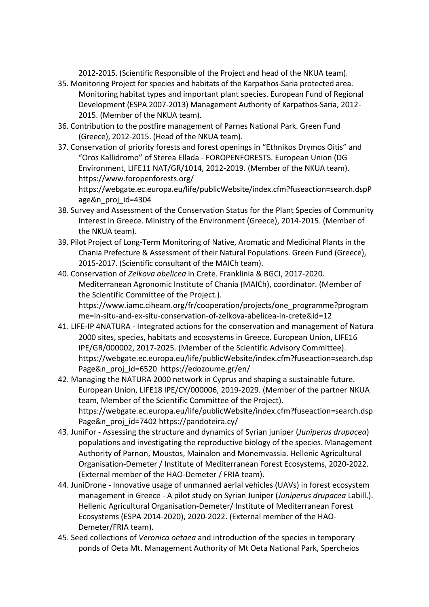2012-2015. (Scientific Responsible of the Project and head of the NKUA team).

- 35. Monitoring Project for species and habitats of the Karpathos-Saria protected area. Monitoring habitat types and important plant species. European Fund of Regional Development (ESPA 2007-2013) Management Authority of Karpathos-Saria, 2012- 2015. (Member of the NKUA team).
- 36. Contribution to the postfire management of Parnes National Park. Green Fund (Greece), 2012-2015. (Head of the NKUA team).
- 37. Conservation of priority forests and forest openings in "Ethnikos Drymos Oitis" and "Oros Kallidromo" of Sterea Ellada - FOROPENFORESTS. European Union (DG Environment, LIFE11 NAT/GR/1014, 2012-2019. (Member of the NKUA team). <https://www.foropenforests.org/>

https://webgate.ec.europa.eu/life/publicWebsite/index.cfm?fuseaction=search.dspP age&n\_proj\_id=4304

- 38. Survey and Assessment of the Conservation Status for the Plant Species of Community Interest in Greece. Ministry of the Environment (Greece), 2014-2015. (Member of the NKUA team).
- 39. Pilot Project of Long-Term Monitoring of Native, Aromatic and Medicinal Plants in the Chania Prefecture & Assessment of their Natural Populations. Green Fund (Greece), 2015-2017. (Scientific consultant of the MAICh team).
- 40. Conservation of *Zelkova abelicea* in Crete. Franklinia & BGCI, 2017-2020. Mediterranean Agronomic Institute of Chania (MAICh), coordinator. (Member of the Scientific Committee of the Project.). [https://www.iamc.ciheam.org/fr/cooperation/projects/one\\_programme?program](https://www.iamc.ciheam.org/fr/cooperation/projects/one_programme?programme=in-situ-and-ex-situ-conservation-of-zelkova-abelicea-in-crete&id=12) [me=in-situ-and-ex-situ-conservation-of-zelkova-abelicea-in-crete&id=12](https://www.iamc.ciheam.org/fr/cooperation/projects/one_programme?programme=in-situ-and-ex-situ-conservation-of-zelkova-abelicea-in-crete&id=12)
- 41. LIFE-IP 4NATURA Integrated actions for the conservation and management of Natura 2000 sites, species, habitats and ecosystems in Greece. European Union, LIFE16 IPE/GR/000002, 2017-2025. (Member of the Scientific Advisory Committee). [https://webgate.ec.europa.eu/life/publicWebsite/index.cfm?fuseaction=search.dsp](https://webgate.ec.europa.eu/life/publicWebsite/index.cfm?fuseaction=search.dspPage&n_proj_id=6520) [Page&n\\_proj\\_id=6520](https://webgate.ec.europa.eu/life/publicWebsite/index.cfm?fuseaction=search.dspPage&n_proj_id=6520) https://edozoume.gr/en/
- 42. Managing the NATURA 2000 network in Cyprus and shaping a sustainable future. European Union, LIFE18 IPE/CY/000006, 2019-2029. (Member of the partner NKUA team, Μember of the Scientific Committee of the Project). [https://webgate.ec.europa.eu/life/publicWebsite/index.cfm?fuseaction=search.dsp](https://webgate.ec.europa.eu/life/publicWebsite/index.cfm?fuseaction=search.dspPage&n_proj_id=7402) [Page&n\\_proj\\_id=7402](https://webgate.ec.europa.eu/life/publicWebsite/index.cfm?fuseaction=search.dspPage&n_proj_id=7402) https://pandoteira.cy/
- 43. JuniFor Assessing the structure and dynamics of Syrian juniper (*Juniperus drupacea*) populations and investigating the reproductive biology of the species. Management Authority of Parnon, Moustos, Mainalon and Monemvassia. Hellenic Agricultural Organisation-Demeter / Institute of Mediterranean Forest Ecosystems, 2020-2022. (External member of the HAO-Demeter / FRIA team).
- 44. JuniDrone Innovative usage of unmanned aerial vehicles (UAVs) in forest ecosystem management in Greece - A pilot study on Syrian Juniper (*Juniperus drupacea* Labill.). Hellenic Agricultural Organisation-Demeter/ Institute of Mediterranean Forest Ecosystems (ESPA 2014-2020), 2020-2022. (External member of the HAO-Demeter/FRIA team).
- 45. Seed collections of *Veronica oetaea* and introduction of the species in temporary ponds of Oeta Mt. Management Authority of Mt Oeta National Park, Spercheios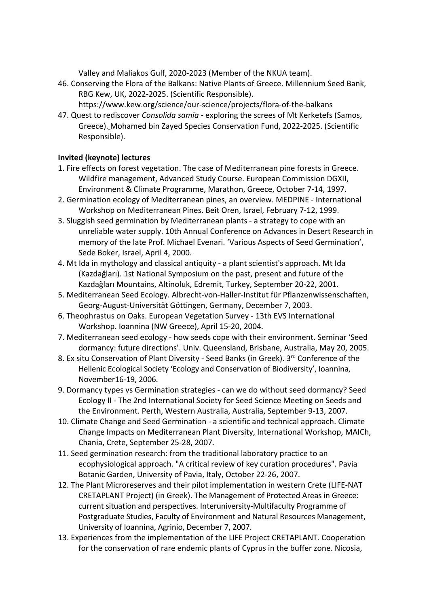Valley and Maliakos Gulf, 2020-2023 (Member of the NKUA team).

- 46. Conserving the Flora of the Balkans: Native Plants of Greece. Millennium Seed Bank, RBG Kew, UK, 2022-2025. (Scientific Responsible). <https://www.kew.org/science/our-science/projects/flora-of-the-balkans>
- 47. Quest to rediscover *Consolida samia* exploring the screes of Mt Kerketefs (Samos, Greece). Mohamed bin Zayed Species Conservation Fund, 2022-2025. (Scientific Responsible).

## **Invited (keynote) lectures**

- 1. Fire effects on forest vegetation. The case of Mediterranean pine forests in Greece. Wildfire management, Advanced Study Course. European Commission DGXII, Environment & Climate Programme, Marathon, Greece, October 7-14, 1997.
- 2. Germination ecology of Mediterranean pines, an overview. MEDPINE International Workshop on Mediterranean Pines. Beit Oren, Israel, February 7-12, 1999.
- 3. Sluggish seed germination by Mediterranean plants a strategy to cope with an unreliable water supply. 10th Annual Conference on Advances in Desert Research in memory of the late Prof. Michael Evenari. 'Various Aspects of Seed Germination', Sede Boker, Israel, April 4, 2000.
- 4. Mt Ida in mythology and classical antiquity a plant scientist's approach. Mt Ida (Kazdağları). 1st National Symposium on the past, present and future of the Kazdağları Mountains, Altinoluk, Edremit, Turkey, September 20-22, 2001.
- 5. Mediterranean Seed Ecology. Albrecht-von-Haller-Institut für Pflanzenwissenschaften, Georg-August-Universität Göttingen, Germany, December 7, 2003.
- 6. Theophrastus on Oaks. European Vegetation Survey 13th EVS International Workshop. Ioannina (NW Greece), April 15-20, 2004.
- 7. Mediterranean seed ecology how seeds cope with their environment. Seminar 'Seed dormancy: future directions'. Univ. Queensland, Brisbane, Australia, May 20, 2005.
- 8. Ex situ Conservation of Plant Diversity Seed Banks (in Greek). 3rd Conference of the Hellenic Ecological Society 'Ecology and Conservation of Biodiversity', Ioannina, November16-19, 2006.
- 9. Dormancy types vs Germination strategies can we do without seed dormancy? Seed Ecology II - The 2nd International Society for Seed Science Meeting on Seeds and the Environment. Perth, Western Australia, Australia, September 9-13, 2007.
- 10. Climate Change and Seed Germination a scientific and technical approach. Climate Change Impacts on Mediterranean Plant Diversity, International Workshop, MAICh, Chania, Crete, September 25-28, 2007.
- 11. Seed germination research: from the traditional laboratory practice to an ecophysiological approach. "A critical review of key curation procedures". Pavia Botanic Garden, University of Pavia, Italy, October 22-26, 2007.
- 12. The Plant Microreserves and their pilot implementation in western Crete (LIFE-NAT CRETAPLANT Project) (in Greek). The Management of Protected Areas in Greece: current situation and perspectives. Interuniversity-Multifaculty Programme of Postgraduate Studies, Faculty of Environment and Natural Resources Management, University of Ioannina, Agrinio, December 7, 2007.
- 13. Experiences from the implementation of the LIFE Project CRETAPLANT. Cooperation for the conservation of rare endemic plants of Cyprus in the buffer zone. Nicosia,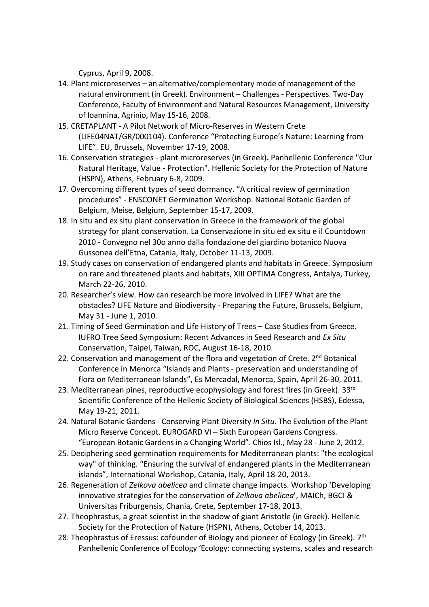Cyprus, April 9, 2008.

- 14. Plant microreserves an alternative/complementary mode of management of the natural environment (in Greek). Environment – Challenges - Perspectives. Two-Day Conference, Faculty of Environment and Natural Resources Management, University of Ioannina, Agrinio, May 15-16, 2008.
- 15. CRETAPLANT A Pilot Network of Micro-Reserves in Western Crete (LIFE04NAT/GR/000104). Conference "Protecting Europe's Nature: Learning from LIFE". EU, Brussels, November 17-19, 2008.
- 16. Conservation strategies plant microreserves (in Greek)**.** Panhellenic Conference "Our Natural Heritage, Value - Protection". Hellenic Society for the Protection of Nature (HSPN), Athens, February 6-8, 2009.
- 17. Overcoming different types of seed dormancy. "A critical review of germination procedures" - ENSCONET Germination Workshop. National Botanic Garden of Belgium, Meise, Belgium, September 15-17, 2009.
- 18. In situ and ex situ plant conservation in Greece in the framework of the global strategy for plant conservation. La Conservazione in situ ed ex situ e il Countdown 2010 - Convegno nel 30o anno dalla fondazione del giardino botanico Nuova Gussonea dell'Etna, Catania, Italy, October 11-13, 2009.
- 19. Study cases on conservation of endangered plants and habitats in Greece. Symposium on rare and threatened plants and habitats, XIII OPTIMA Congress, Antalya, Turkey, March 22-26, 2010.
- 20. Researcher's view. How can research be more involved in LIFE? What are the obstacles? LIFE Nature and Biodiversity - Preparing the Future, Brussels, Belgium, May 31 - June 1, 2010.
- 21. Timing of Seed Germination and Life History of Trees Case Studies from Greece. IUFRO Tree Seed Symposium: Recent Advances in Seed Research and *Ex Situ*  Conservation, Taipei, Taiwan, ROC, August 16-18, 2010.
- 22. Conservation and management of the flora and vegetation of Crete. 2<sup>nd</sup> Botanical Conference in Menorca "Islands and Plants - preservation and understanding of flora on Mediterranean Islands", Es Mercadal, Menorca, Spain, April 26-30, 2011.
- 23. Mediterranean pines, reproductive ecophysiology and forest fires (in Greek). 33<sup>rd</sup> Scientific Conference of the Hellenic Society of Biological Sciences (HSBS), Edessa, May 19-21, 2011.
- 24. Natural Botanic Gardens Conserving Plant Diversity *In Situ*. The Evolution of the Plant Micro Reserve Concept. EUROGARD VI – Sixth European Gardens Congress. "European Botanic Gardens in a Changing World". Chios Isl., May 28 - June 2, 2012.
- 25. Deciphering seed germination requirements for Mediterranean plants: "the ecological way" of thinking. "Ensuring the survival of endangered plants in the Mediterranean islands", International Workshop, Catania, Italy, April 18-20, 2013.
- 26. Regeneration of *Zelkova abelicea* and climate change impacts. Workshop 'Developing innovative strategies for the conservation of *Zelkova abelicea*', MAICh, BGCI & Universitas Friburgensis, Chania, Crete, September 17-18, 2013.
- 27. Theophrastus, a great scientist in the shadow of giant Aristotle (in Greek). Hellenic Society for the Protection of Nature (HSPN), Athens, October 14, 2013.
- 28. Theophrastus of Eressus: cofounder of Biology and pioneer of Ecology (in Greek). 7<sup>th</sup> Panhellenic Conference of Ecology 'Ecology: connecting systems, scales and research